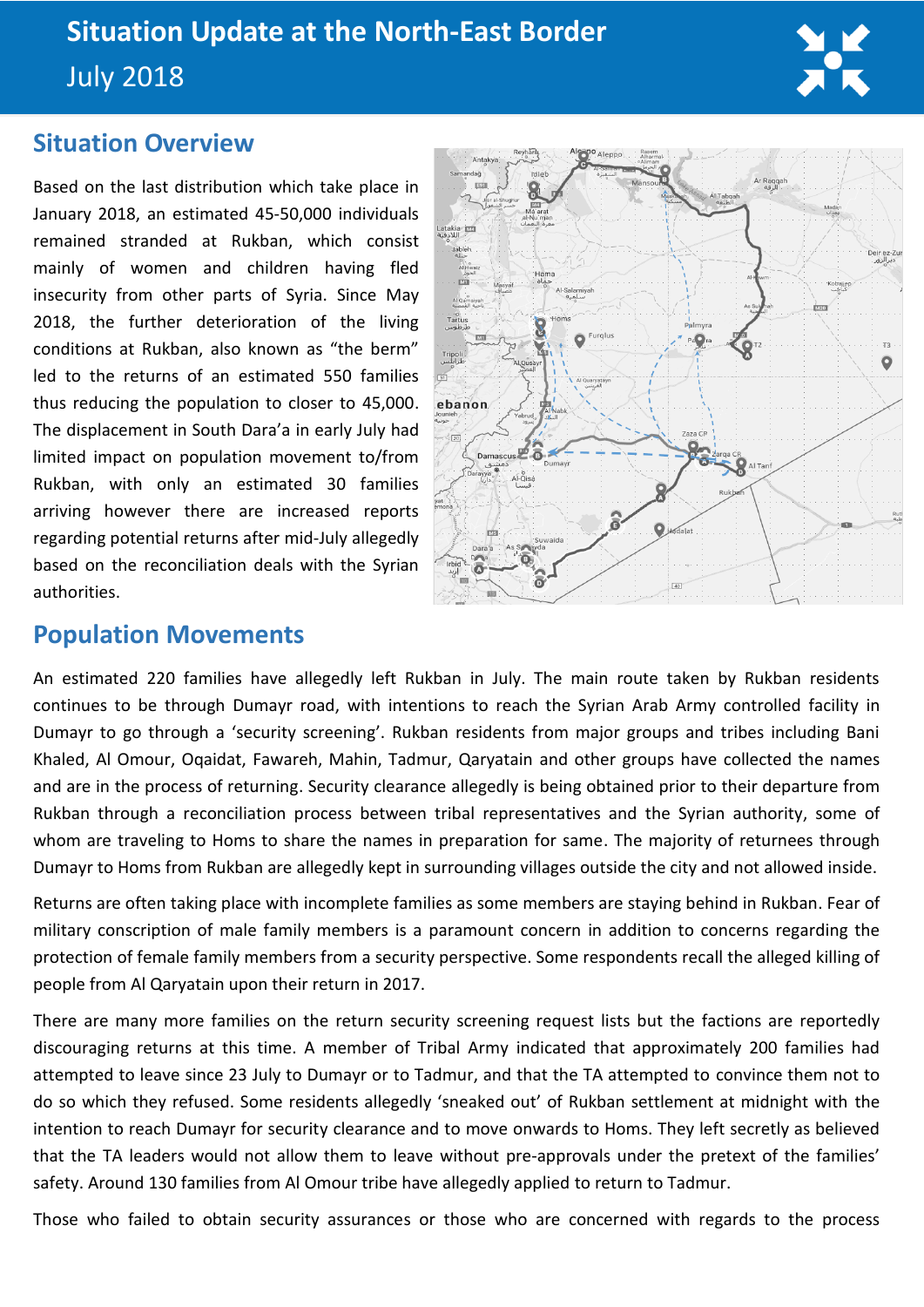

## **Situation Overview**

Based on the last distribution which take place in January 2018, an estimated 45-50,000 individuals remained stranded at Rukban, which consist mainly of women and children having fled insecurity from other parts of Syria. Since May 2018, the further deterioration of the living conditions at Rukban, also known as "the berm" led to the returns of an estimated 550 families thus reducing the population to closer to 45,000. The displacement in South Dara'a in early July had limited impact on population movement to/from Rukban, with only an estimated 30 families arriving however there are increased reports regarding potential returns after mid-July allegedly based on the reconciliation deals with the Syrian authorities.



## **Population Movements**

An estimated 220 families have allegedly left Rukban in July. The main route taken by Rukban residents continues to be through Dumayr road, with intentions to reach the Syrian Arab Army controlled facility in Dumayr to go through a 'security screening'. Rukban residents from major groups and tribes including Bani Khaled, Al Omour, Oqaidat, Fawareh, Mahin, Tadmur, Qaryatain and other groups have collected the names and are in the process of returning. Security clearance allegedly is being obtained prior to their departure from Rukban through a reconciliation process between tribal representatives and the Syrian authority, some of whom are traveling to Homs to share the names in preparation for same. The majority of returnees through Dumayr to Homs from Rukban are allegedly kept in surrounding villages outside the city and not allowed inside.

Returns are often taking place with incomplete families as some members are staying behind in Rukban. Fear of military conscription of male family members is a paramount concern in addition to concerns regarding the protection of female family members from a security perspective. Some respondents recall the alleged killing of people from Al Qaryatain upon their return in 2017.

There are many more families on the return security screening request lists but the factions are reportedly discouraging returns at this time. A member of Tribal Army indicated that approximately 200 families had attempted to leave since 23 July to Dumayr or to Tadmur, and that the TA attempted to convince them not to do so which they refused. Some residents allegedly 'sneaked out' of Rukban settlement at midnight with the intention to reach Dumayr for security clearance and to move onwards to Homs. They left secretly as believed that the TA leaders would not allow them to leave without pre-approvals under the pretext of the families' safety. Around 130 families from Al Omour tribe have allegedly applied to return to Tadmur.

Those who failed to obtain security assurances or those who are concerned with regards to the process